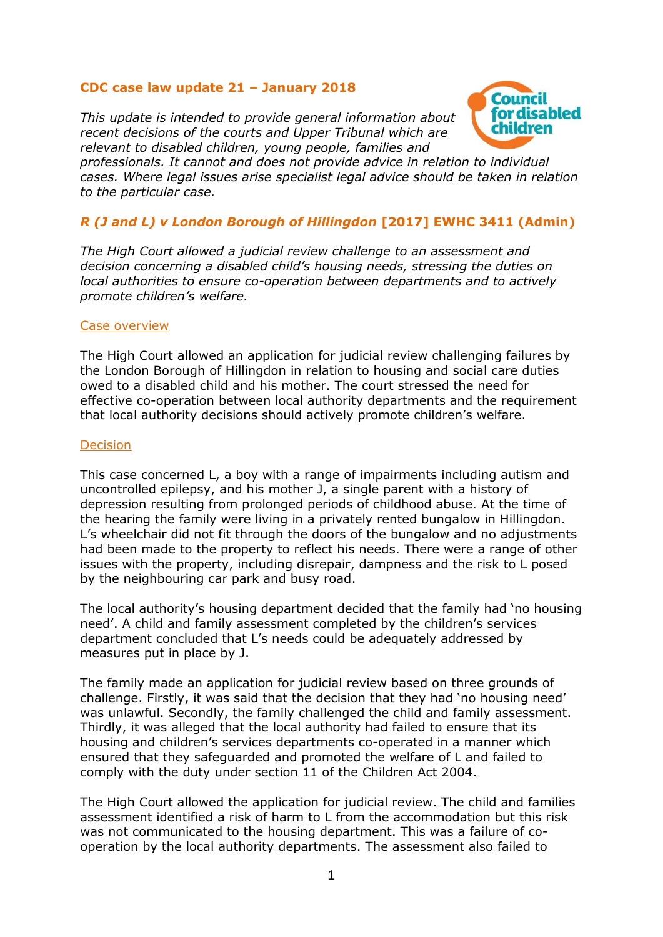## **CDC case law update 21 – January 2018**

*This update is intended to provide general information about recent decisions of the courts and Upper Tribunal which are relevant to disabled children, young people, families and* 



*professionals. It cannot and does not provide advice in relation to individual cases. Where legal issues arise specialist legal advice should be taken in relation to the particular case.*

# *R (J and L) v London Borough of Hillingdon* **[2017] EWHC 3411 (Admin)**

*The High Court allowed a judicial review challenge to an assessment and decision concerning a disabled child's housing needs, stressing the duties on local authorities to ensure co-operation between departments and to actively promote children's welfare.*

### Case overview

The High Court allowed an application for judicial review challenging failures by the London Borough of Hillingdon in relation to housing and social care duties owed to a disabled child and his mother. The court stressed the need for effective co-operation between local authority departments and the requirement that local authority decisions should actively promote children's welfare.

## **Decision**

This case concerned L, a boy with a range of impairments including autism and uncontrolled epilepsy, and his mother J, a single parent with a history of depression resulting from prolonged periods of childhood abuse. At the time of the hearing the family were living in a privately rented bungalow in Hillingdon. L's wheelchair did not fit through the doors of the bungalow and no adjustments had been made to the property to reflect his needs. There were a range of other issues with the property, including disrepair, dampness and the risk to L posed by the neighbouring car park and busy road.

The local authority's housing department decided that the family had 'no housing need'. A child and family assessment completed by the children's services department concluded that L's needs could be adequately addressed by measures put in place by J.

The family made an application for judicial review based on three grounds of challenge. Firstly, it was said that the decision that they had 'no housing need' was unlawful. Secondly, the family challenged the child and family assessment. Thirdly, it was alleged that the local authority had failed to ensure that its housing and children's services departments co-operated in a manner which ensured that they safeguarded and promoted the welfare of L and failed to comply with the duty under section 11 of the Children Act 2004.

The High Court allowed the application for judicial review. The child and families assessment identified a risk of harm to L from the accommodation but this risk was not communicated to the housing department. This was a failure of cooperation by the local authority departments. The assessment also failed to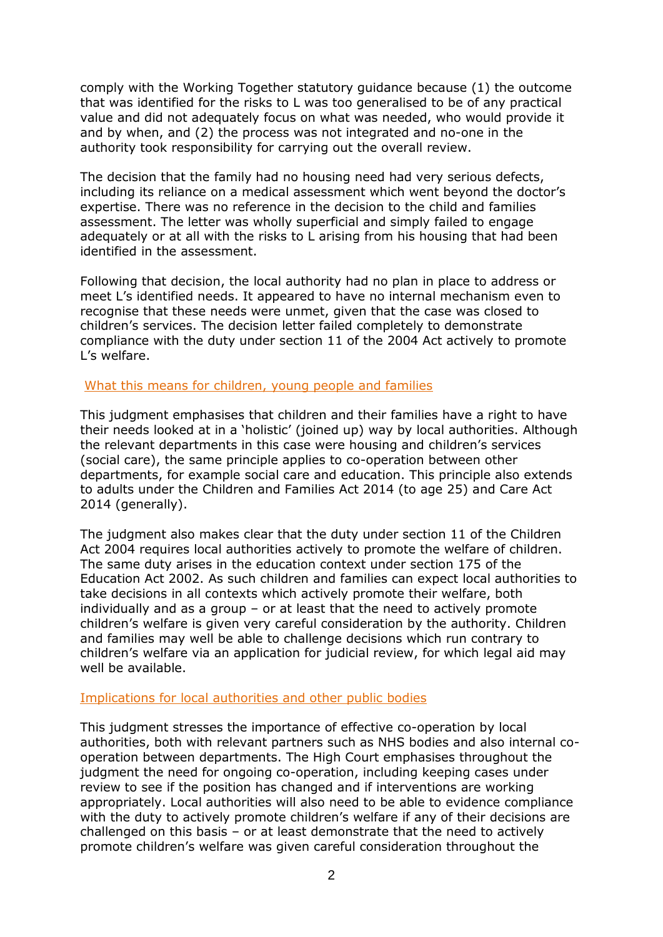comply with the Working Together statutory guidance because (1) the outcome that was identified for the risks to L was too generalised to be of any practical value and did not adequately focus on what was needed, who would provide it and by when, and (2) the process was not integrated and no-one in the authority took responsibility for carrying out the overall review.

The decision that the family had no housing need had very serious defects, including its reliance on a medical assessment which went beyond the doctor's expertise. There was no reference in the decision to the child and families assessment. The letter was wholly superficial and simply failed to engage adequately or at all with the risks to L arising from his housing that had been identified in the assessment.

Following that decision, the local authority had no plan in place to address or meet L's identified needs. It appeared to have no internal mechanism even to recognise that these needs were unmet, given that the case was closed to children's services. The decision letter failed completely to demonstrate compliance with the duty under section 11 of the 2004 Act actively to promote L's welfare.

#### What this means for children, young people and families

This judgment emphasises that children and their families have a right to have their needs looked at in a 'holistic' (joined up) way by local authorities. Although the relevant departments in this case were housing and children's services (social care), the same principle applies to co-operation between other departments, for example social care and education. This principle also extends to adults under the Children and Families Act 2014 (to age 25) and Care Act 2014 (generally).

The judgment also makes clear that the duty under section 11 of the Children Act 2004 requires local authorities actively to promote the welfare of children. The same duty arises in the education context under section 175 of the Education Act 2002. As such children and families can expect local authorities to take decisions in all contexts which actively promote their welfare, both individually and as a group – or at least that the need to actively promote children's welfare is given very careful consideration by the authority. Children and families may well be able to challenge decisions which run contrary to children's welfare via an application for judicial review, for which legal aid may well be available.

### Implications for local authorities and other public bodies

This judgment stresses the importance of effective co-operation by local authorities, both with relevant partners such as NHS bodies and also internal cooperation between departments. The High Court emphasises throughout the judgment the need for ongoing co-operation, including keeping cases under review to see if the position has changed and if interventions are working appropriately. Local authorities will also need to be able to evidence compliance with the duty to actively promote children's welfare if any of their decisions are challenged on this basis – or at least demonstrate that the need to actively promote children's welfare was given careful consideration throughout the